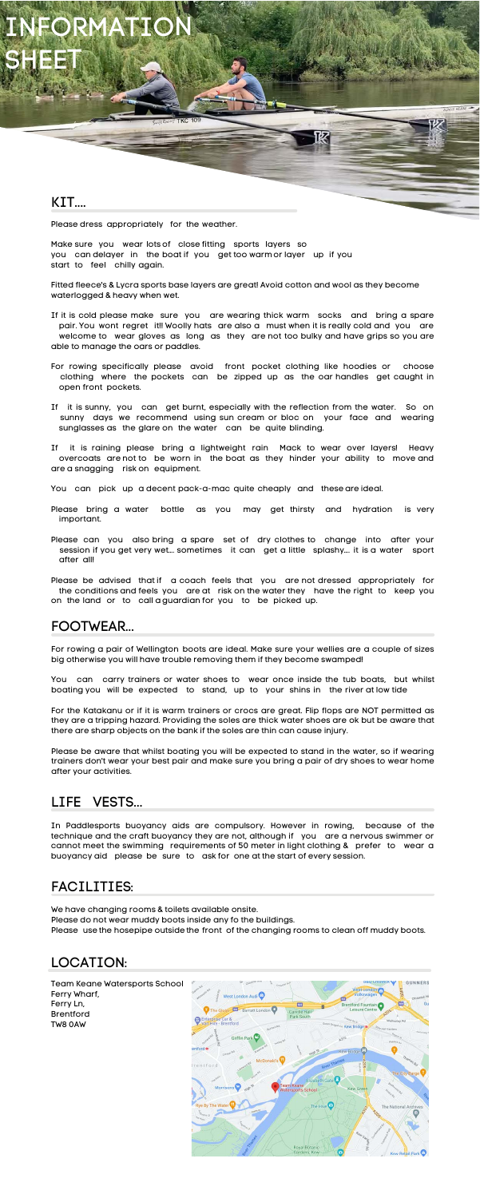#### KIT....

For rowing a pair of Wellington boots are ideal. Make sure your wellies are a couple of sizes big otherwise you will have trouble removing them if they become swamped!

You can carry trainers or water shoes to wear once inside the tub boats, but whilst boating you will be expected to stand, up to your shins in the river at low tide

For the Katakanu or if it is warm trainers or crocs are great. Flip flops are NOT permitted as they are a tripping hazard. Providing the soles are thick water shoes are ok but be aware that there are sharp objects on the bank if the soles are thin can cause injury.

Please be aware that whilst boating you will be expected to stand in the water, so if wearing trainers don't wear your best pair and make sure you bring a pair of dry shoes to wear home after your activities.

## LIFE VESTS...

## FOOTWEAR...

#### FACILITIES:

Team Keane Watersports School Ferry Wharf, Ferry Ln, Brentford TW8 0AW



Please dress appropriately for the weather.

Make sure you wear lots of close fitting sports layers so you can delayer in the boat if you get too warmor layer up if you start to feel chilly again.

Fitted fleece's & Lycra sports base layers are great! Avoid cotton and wool as they become waterlogged & heavy when wet.

**SNUS KEANE** 

FORMATI SHEET

> If it is cold please make sure you are wearing thick warm socks and bring a spare pair. You wont regret it!! Woolly hats are also a must when it is really cold and you are welcome to wear gloves as long as they are not too bulky and have grips so you are able to manage the oars or paddles.

- For rowing specifically please avoid front pocket clothing like hoodies or choose clothing where the pockets can be zipped up as the oar handles get caught in open front pockets.
- If it is sunny, you can get burnt, especially with the reflection from the water. So on sunny days we recommend using sun cream or bloc on your face and wearing sunglasses as the glare on the water can be quite blinding.

If it is raining please bring a lightweight rain Mack to wear over layers! Heavy overcoats are not to be worn in the boat as they hinder your ability to move and are a snagging risk on equipment.

- You can pick up a decent pack-a-mac quite cheaply and these are ideal.
- Please bring a water bottle as you may get thirsty and hydration is very important.
- Please can you also bring a spare set of dry clothes to change into after your session if you get very wet…. sometimes it can get a little splashy…. it is a water sport after all!

Please be advised that if a coach feels that you are not dressed appropriately for the conditions and feels you are at risk on the water they have the right to keep you on the land or to call a guardian for you to be picked up.

In Paddlesports buoyancy aids are compulsory. However in rowing, because of the technique and the craft buoyancy they are not, although if you are a nervous swimmer or cannot meet the swimming requirements of 50 meter in light clothing & prefer to wear a buoyancy aid please be sure to ask for one at the start of every session.

We have changing rooms & toilets available onsite.

Please do not wear muddy boots inside any fo the buildings.

Please use the hosepipe outside the front of the changing rooms to clean off muddy boots.

## LOCATION: